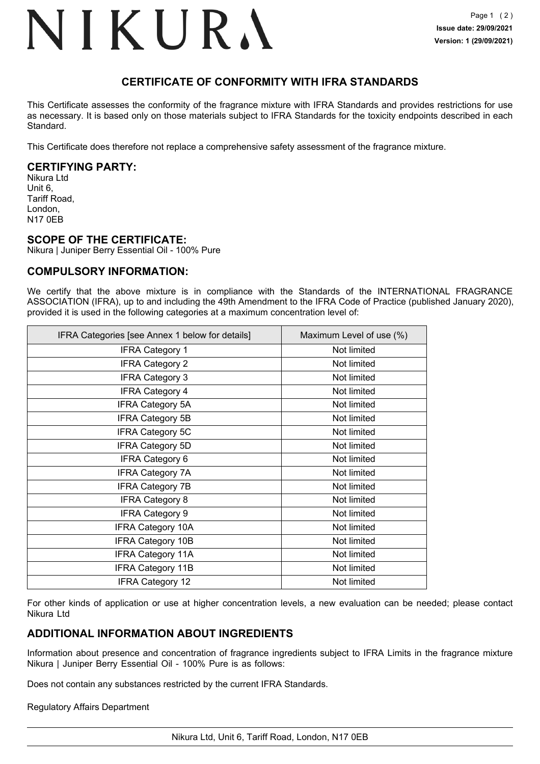# NIKURA

# **CERTIFICATE OF CONFORMITY WITH IFRA STANDARDS**

This Certificate assesses the conformity of the fragrance mixture with IFRA Standards and provides restrictions for use as necessary. It is based only on those materials subject to IFRA Standards for the toxicity endpoints described in each Standard.

This Certificate does therefore not replace a comprehensive safety assessment of the fragrance mixture.

## **CERTIFYING PARTY:**

Nikura Ltd Unit 6, Tariff Road, London, N17 0EB

#### **SCOPE OF THE CERTIFICATE:**

Nikura | Juniper Berry Essential Oil - 100% Pure

## **COMPULSORY INFORMATION:**

We certify that the above mixture is in compliance with the Standards of the INTERNATIONAL FRAGRANCE ASSOCIATION (IFRA), up to and including the 49th Amendment to the IFRA Code of Practice (published January 2020), provided it is used in the following categories at a maximum concentration level of:

| IFRA Categories [see Annex 1 below for details] | Maximum Level of use (%) |
|-------------------------------------------------|--------------------------|
| <b>IFRA Category 1</b>                          | Not limited              |
| <b>IFRA Category 2</b>                          | Not limited              |
| <b>IFRA Category 3</b>                          | Not limited              |
| <b>IFRA Category 4</b>                          | Not limited              |
| <b>IFRA Category 5A</b>                         | Not limited              |
| <b>IFRA Category 5B</b>                         | Not limited              |
| <b>IFRA Category 5C</b>                         | Not limited              |
| <b>IFRA Category 5D</b>                         | Not limited              |
| <b>IFRA Category 6</b>                          | Not limited              |
| <b>IFRA Category 7A</b>                         | Not limited              |
| <b>IFRA Category 7B</b>                         | Not limited              |
| <b>IFRA Category 8</b>                          | Not limited              |
| <b>IFRA Category 9</b>                          | Not limited              |
| <b>IFRA Category 10A</b>                        | Not limited              |
| <b>IFRA Category 10B</b>                        | Not limited              |
| <b>IFRA Category 11A</b>                        | Not limited              |
| <b>IFRA Category 11B</b>                        | Not limited              |
| <b>IFRA Category 12</b>                         | Not limited              |

For other kinds of application or use at higher concentration levels, a new evaluation can be needed; please contact Nikura Ltd

## **ADDITIONAL INFORMATION ABOUT INGREDIENTS**

Information about presence and concentration of fragrance ingredients subject to IFRA Limits in the fragrance mixture Nikura | Juniper Berry Essential Oil - 100% Pure is as follows:

Does not contain any substances restricted by the current IFRA Standards.

#### Regulatory Affairs Department

Nikura Ltd, Unit 6, Tariff Road, London, N17 0EB